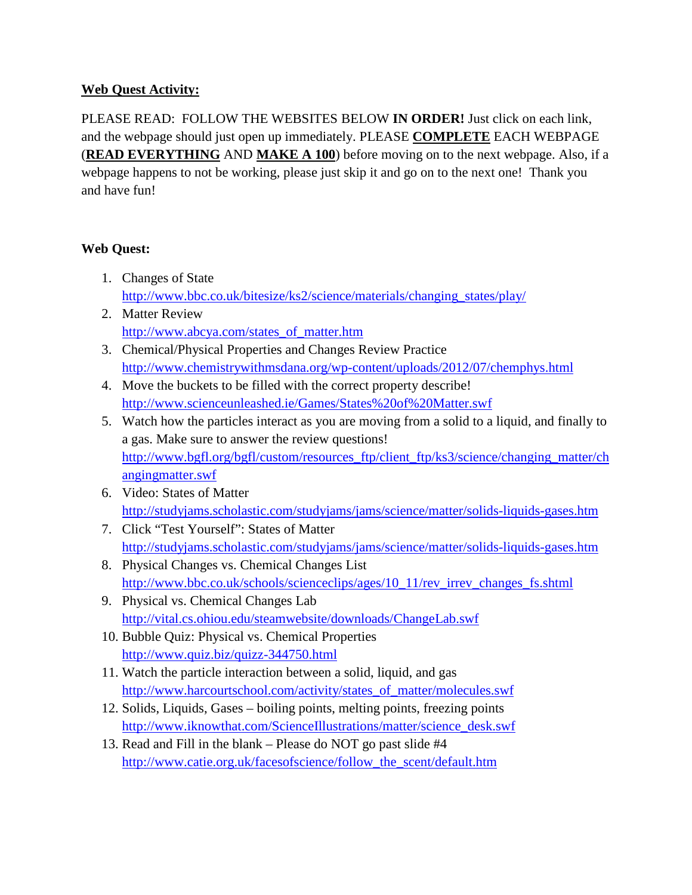## **Web Quest Activity:**

PLEASE READ: FOLLOW THE WEBSITES BELOW **IN ORDER!** Just click on each link, and the webpage should just open up immediately. PLEASE **COMPLETE** EACH WEBPAGE (**READ EVERYTHING** AND **MAKE A 100**) before moving on to the next webpage. Also, if a webpage happens to not be working, please just skip it and go on to the next one! Thank you and have fun!

## **Web Quest:**

- 1. Changes of State [http://www.bbc.co.uk/bitesize/ks2/science/materials/changing\\_states/play/](http://www.bbc.co.uk/bitesize/ks2/science/materials/changing_states/play/)
- 2. Matter Review [http://www.abcya.com/states\\_of\\_matter.htm](http://www.abcya.com/states_of_matter.htm)
- 3. Chemical/Physical Properties and Changes Review Practice <http://www.chemistrywithmsdana.org/wp-content/uploads/2012/07/chemphys.html>
- 4. Move the buckets to be filled with the correct property describe! <http://www.scienceunleashed.ie/Games/States%20of%20Matter.swf>
- 5. Watch how the particles interact as you are moving from a solid to a liquid, and finally to a gas. Make sure to answer the review questions! [http://www.bgfl.org/bgfl/custom/resources\\_ftp/client\\_ftp/ks3/science/changing\\_matter/ch](http://www.bgfl.org/bgfl/custom/resources_ftp/client_ftp/ks3/science/changing_matter/changingmatter.swf) [angingmatter.swf](http://www.bgfl.org/bgfl/custom/resources_ftp/client_ftp/ks3/science/changing_matter/changingmatter.swf)
- 6. Video: States of Matter <http://studyjams.scholastic.com/studyjams/jams/science/matter/solids-liquids-gases.htm>
- 7. Click "Test Yourself": States of Matter <http://studyjams.scholastic.com/studyjams/jams/science/matter/solids-liquids-gases.htm>
- 8. Physical Changes vs. Chemical Changes List [http://www.bbc.co.uk/schools/scienceclips/ages/10\\_11/rev\\_irrev\\_changes\\_fs.shtml](http://www.bbc.co.uk/schools/scienceclips/ages/10_11/rev_irrev_changes_fs.shtml)
- 9. Physical vs. Chemical Changes Lab <http://vital.cs.ohiou.edu/steamwebsite/downloads/ChangeLab.swf>
- 10. Bubble Quiz: Physical vs. Chemical Properties <http://www.quiz.biz/quizz-344750.html>
- 11. Watch the particle interaction between a solid, liquid, and gas [http://www.harcourtschool.com/activity/states\\_of\\_matter/molecules.swf](http://www.harcourtschool.com/activity/states_of_matter/molecules.swf)
- 12. Solids, Liquids, Gases boiling points, melting points, freezing points [http://www.iknowthat.com/ScienceIllustrations/matter/science\\_desk.swf](http://www.iknowthat.com/ScienceIllustrations/matter/science_desk.swf)
- 13. Read and Fill in the blank Please do NOT go past slide #4 [http://www.catie.org.uk/facesofscience/follow\\_the\\_scent/default.htm](http://www.catie.org.uk/facesofscience/follow_the_scent/default.htm)